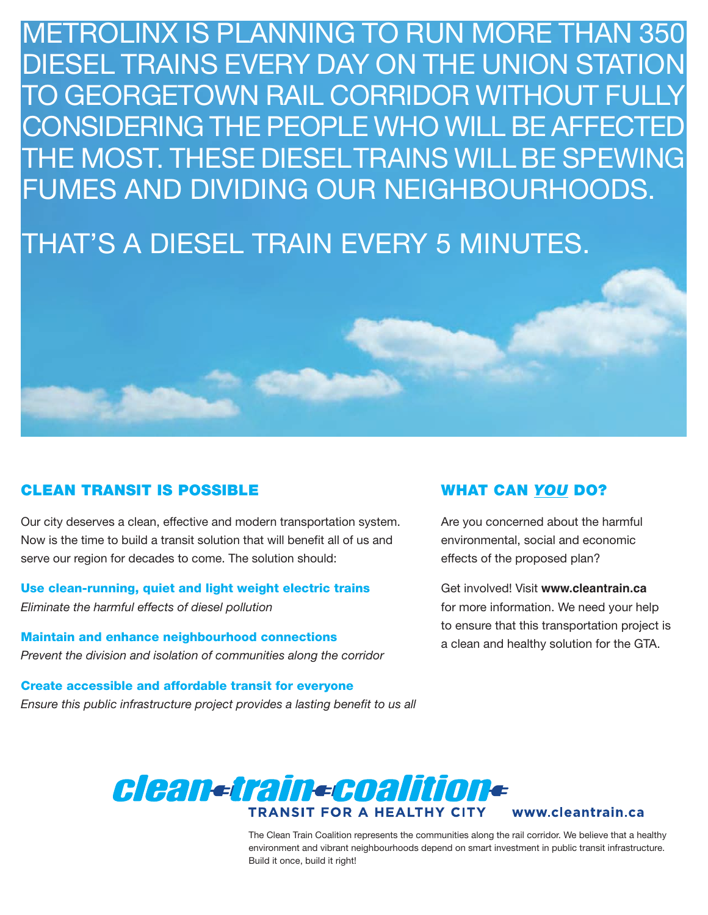METROLINX IS PLANNING TO RUN MORE THAN 350 DIESEL TRAINS EVERY DAY ON THE UNION STATION TO GEORGETOWN RAIL CORRIDOR WITHOUT FULLY CONSIDERING THE PEOPLE WHO WILL BE AFFECTED THE MOST. THESE DIESELTRAINS WILL BE SPEWING FUMES AND DIVIDING OUR NEIGHBOURHOODS.

# THAT'S A DIESEL TRAIN EVERY 5 MINUTES.

## **CLEAN TRANSIT IS POSSIBLE**

Our city deserves a clean, effective and modern transportation system. Now is the time to build a transit solution that will benefit all of us and serve our region for decades to come. The solution should:

#### **Use clean-running, quiet and light weight electric trains** *Eliminate the harmful effects of diesel pollution*

**Maintain and enhance neighbourhood connections** *Prevent the division and isolation of communities along the corridor*

**Create accessible and affordable transit for everyone** *Ensure this public infrastructure project provides a lasting benefit to us all*

## **WHAT CAN** *YOU* **DO?**

Are you concerned about the harmful environmental, social and economic effects of the proposed plan?

Get involved! Visit **www.cleantrain.ca** for more information. We need your help to ensure that this transportation project is a clean and healthy solution for the GTA.



www.cleantrain.ca

The Clean Train Coalition represents the communities along the rail corridor. We believe that a healthy environment and vibrant neighbourhoods depend on smart investment in public transit infrastructure. Build it once, build it right!